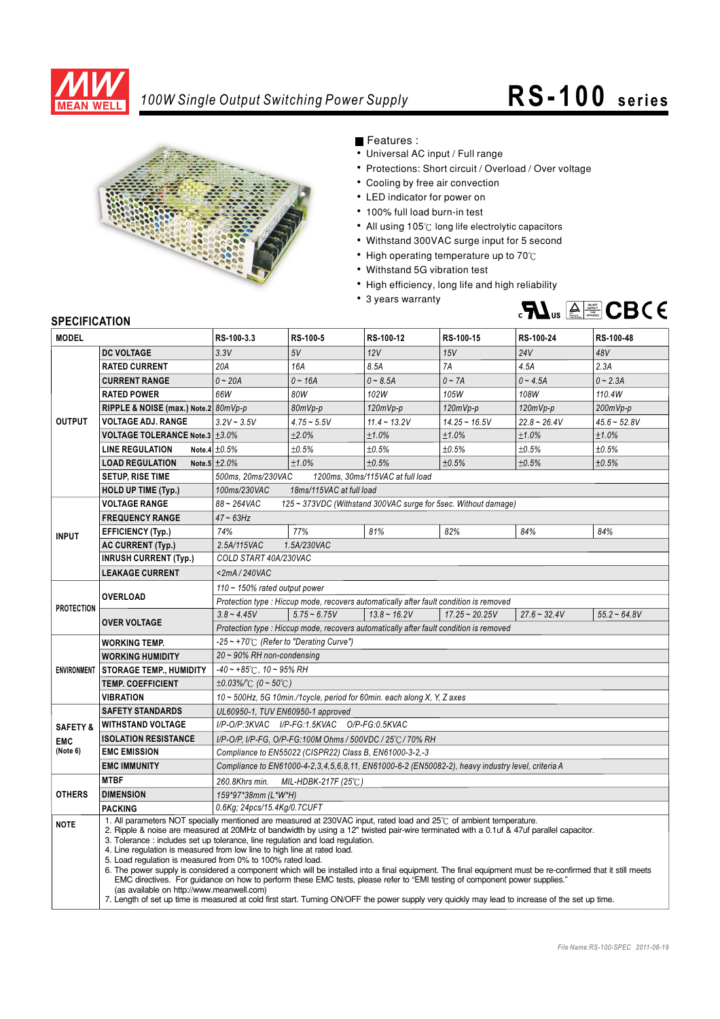

## *100W Single Output Switching Power Supply* **RS- 100 series**



Features :

- Universal AC input / Full range
- Protections: Short circuit / Overload / Over voltage
- Cooling by free air convection
- LED indicator for power on
- 100% full load burn-in test
- All using 105°C long life electrolytic capacitors
- Withstand 300VAC surge input for 5 second
- High operating temperature up to  $70^{\circ}$ C
- Withstand 5G vibration test
- High efficiency, long life and high reliability
- 3 years warranty



## **SPECIFICATION**

| <b>MODEL</b>        |                                                                                | RS-100-3.3                                                                                                                                                                                                                                                                                                                                                                                                                                                                                                                                                                                                                                                                                                                                                                                                                                                                                                                                 | RS-100-5       | RS-100-12      | RS-100-15        | RS-100-24      | RS-100-48      |
|---------------------|--------------------------------------------------------------------------------|--------------------------------------------------------------------------------------------------------------------------------------------------------------------------------------------------------------------------------------------------------------------------------------------------------------------------------------------------------------------------------------------------------------------------------------------------------------------------------------------------------------------------------------------------------------------------------------------------------------------------------------------------------------------------------------------------------------------------------------------------------------------------------------------------------------------------------------------------------------------------------------------------------------------------------------------|----------------|----------------|------------------|----------------|----------------|
|                     | <b>DC VOLTAGE</b>                                                              | 3.3V                                                                                                                                                                                                                                                                                                                                                                                                                                                                                                                                                                                                                                                                                                                                                                                                                                                                                                                                       | 5V             | 12V            | 15V              | 24V            | 48V            |
| <b>OUTPUT</b>       | <b>RATED CURRENT</b>                                                           | 20A                                                                                                                                                                                                                                                                                                                                                                                                                                                                                                                                                                                                                                                                                                                                                                                                                                                                                                                                        | 16A            | 8.5A           | 7A               | 4.5A           | 2.3A           |
|                     | <b>CURRENT RANGE</b>                                                           | $0 - 20A$                                                                                                                                                                                                                                                                                                                                                                                                                                                                                                                                                                                                                                                                                                                                                                                                                                                                                                                                  | $0 - 16A$      | $0 - 8.5A$     | $0 - 7A$         | $0 - 4.5A$     | $0 - 2.3A$     |
|                     |                                                                                | 66W                                                                                                                                                                                                                                                                                                                                                                                                                                                                                                                                                                                                                                                                                                                                                                                                                                                                                                                                        |                |                |                  |                |                |
|                     | <b>RATED POWER</b>                                                             |                                                                                                                                                                                                                                                                                                                                                                                                                                                                                                                                                                                                                                                                                                                                                                                                                                                                                                                                            | 80W            | 102W           | 105W             | 108W           | 110.4W         |
|                     | RIPPLE & NOISE (max.) Note.2 80mVp-p                                           |                                                                                                                                                                                                                                                                                                                                                                                                                                                                                                                                                                                                                                                                                                                                                                                                                                                                                                                                            | 80mVp-p        | 120mVp-p       | $120mVp-p$       | $120mVp-p$     | $200mVp-p$     |
|                     | <b>VOLTAGE ADJ. RANGE</b>                                                      | $3.2V - 3.5V$                                                                                                                                                                                                                                                                                                                                                                                                                                                                                                                                                                                                                                                                                                                                                                                                                                                                                                                              | $4.75 - 5.5V$  | $11.4 - 13.2V$ | $14.25 - 16.5V$  | $22.8 - 26.4V$ | $45.6 - 52.8V$ |
|                     | <b>VOLTAGE TOLERANCE Note.3 <math>\pm</math>3.0%</b>                           |                                                                                                                                                                                                                                                                                                                                                                                                                                                                                                                                                                                                                                                                                                                                                                                                                                                                                                                                            | ±2.0%          | ±1.0%          | ±1.0%            | ±1.0%          | ±1.0%          |
|                     | <b>LINE REGULATION</b>                                                         | Note.4 $\pm 0.5%$                                                                                                                                                                                                                                                                                                                                                                                                                                                                                                                                                                                                                                                                                                                                                                                                                                                                                                                          | ±0.5%          | ±0.5%          | ±0.5%            | ±0.5%          | ±0.5%          |
|                     | <b>LOAD REGULATION</b>                                                         | Note.5 $\pm 2.0\%$                                                                                                                                                                                                                                                                                                                                                                                                                                                                                                                                                                                                                                                                                                                                                                                                                                                                                                                         | ±1.0%          | ±0.5%          | ±0.5%            | ±0.5%          | ±0.5%          |
|                     | <b>SETUP, RISE TIME</b>                                                        | 500ms, 20ms/230VAC<br>1200ms, 30ms/115VAC at full load                                                                                                                                                                                                                                                                                                                                                                                                                                                                                                                                                                                                                                                                                                                                                                                                                                                                                     |                |                |                  |                |                |
|                     | <b>HOLD UP TIME (Typ.)</b>                                                     | 100ms/230VAC<br>18ms/115VAC at full load                                                                                                                                                                                                                                                                                                                                                                                                                                                                                                                                                                                                                                                                                                                                                                                                                                                                                                   |                |                |                  |                |                |
| <b>INPUT</b>        | <b>VOLTAGE RANGE</b>                                                           | 88~264VAC<br>125 ~ 373VDC (Withstand 300VAC surge for 5sec. Without damage)                                                                                                                                                                                                                                                                                                                                                                                                                                                                                                                                                                                                                                                                                                                                                                                                                                                                |                |                |                  |                |                |
|                     | <b>FREQUENCY RANGE</b>                                                         | $47 - 63$ Hz                                                                                                                                                                                                                                                                                                                                                                                                                                                                                                                                                                                                                                                                                                                                                                                                                                                                                                                               |                |                |                  |                |                |
|                     | <b>EFFICIENCY (Typ.)</b>                                                       | 74%                                                                                                                                                                                                                                                                                                                                                                                                                                                                                                                                                                                                                                                                                                                                                                                                                                                                                                                                        | 77%            | 81%            | 82%              | 84%            | 84%            |
|                     | <b>AC CURRENT (Typ.)</b>                                                       | 2.5A/115VAC<br>1.5A/230VAC                                                                                                                                                                                                                                                                                                                                                                                                                                                                                                                                                                                                                                                                                                                                                                                                                                                                                                                 |                |                |                  |                |                |
|                     | <b>INRUSH CURRENT (Typ.)</b>                                                   | COLD START 40A/230VAC                                                                                                                                                                                                                                                                                                                                                                                                                                                                                                                                                                                                                                                                                                                                                                                                                                                                                                                      |                |                |                  |                |                |
|                     | <b>LEAKAGE CURRENT</b>                                                         | $<$ 2mA/240VAC                                                                                                                                                                                                                                                                                                                                                                                                                                                                                                                                                                                                                                                                                                                                                                                                                                                                                                                             |                |                |                  |                |                |
| <b>PROTECTION</b>   | OVERLOAD                                                                       | $110 - 150\%$ rated output power                                                                                                                                                                                                                                                                                                                                                                                                                                                                                                                                                                                                                                                                                                                                                                                                                                                                                                           |                |                |                  |                |                |
|                     |                                                                                | Protection type : Hiccup mode, recovers automatically after fault condition is removed                                                                                                                                                                                                                                                                                                                                                                                                                                                                                                                                                                                                                                                                                                                                                                                                                                                     |                |                |                  |                |                |
|                     | <b>OVER VOLTAGE</b>                                                            | $3.8 - 4.45V$                                                                                                                                                                                                                                                                                                                                                                                                                                                                                                                                                                                                                                                                                                                                                                                                                                                                                                                              | $5.75 - 6.75V$ | $13.8 - 16.2V$ | $17.25 - 20.25V$ | $27.6 - 32.4V$ | $55.2 - 64.8V$ |
|                     |                                                                                | Protection type: Hiccup mode, recovers automatically after fault condition is removed                                                                                                                                                                                                                                                                                                                                                                                                                                                                                                                                                                                                                                                                                                                                                                                                                                                      |                |                |                  |                |                |
|                     | <b>WORKING TEMP.</b>                                                           | $-25 \sim +70^{\circ}$ (Refer to "Derating Curve")                                                                                                                                                                                                                                                                                                                                                                                                                                                                                                                                                                                                                                                                                                                                                                                                                                                                                         |                |                |                  |                |                |
|                     | <b>WORKING HUMIDITY</b>                                                        | $20 \sim 90\%$ RH non-condensing                                                                                                                                                                                                                                                                                                                                                                                                                                                                                                                                                                                                                                                                                                                                                                                                                                                                                                           |                |                |                  |                |                |
|                     | ENVIRONMENT   STORAGE TEMP., HUMIDITY                                          | $-40 \sim +85^{\circ}$ C, 10 ~ 95% RH                                                                                                                                                                                                                                                                                                                                                                                                                                                                                                                                                                                                                                                                                                                                                                                                                                                                                                      |                |                |                  |                |                |
|                     | <b>TEMP. COEFFICIENT</b>                                                       | $\pm 0.03\%$ C (0 ~ 50°C)                                                                                                                                                                                                                                                                                                                                                                                                                                                                                                                                                                                                                                                                                                                                                                                                                                                                                                                  |                |                |                  |                |                |
|                     | <b>VIBRATION</b>                                                               | 10 ~ 500Hz, 5G 10min./1cycle, period for 60min. each along X, Y, Z axes                                                                                                                                                                                                                                                                                                                                                                                                                                                                                                                                                                                                                                                                                                                                                                                                                                                                    |                |                |                  |                |                |
|                     | <b>SAFETY STANDARDS</b>                                                        |                                                                                                                                                                                                                                                                                                                                                                                                                                                                                                                                                                                                                                                                                                                                                                                                                                                                                                                                            |                |                |                  |                |                |
| <b>SAFETY &amp;</b> | <b>WITHSTAND VOLTAGE</b>                                                       | I/P-O/P:3KVAC I/P-FG:1.5KVAC O/P-FG:0.5KVAC                                                                                                                                                                                                                                                                                                                                                                                                                                                                                                                                                                                                                                                                                                                                                                                                                                                                                                |                |                |                  |                |                |
| <b>EMC</b>          | <b>ISOLATION RESISTANCE</b>                                                    | I/P-O/P, I/P-FG, O/P-FG:100M Ohms / 500VDC / 25°C / 70% RH                                                                                                                                                                                                                                                                                                                                                                                                                                                                                                                                                                                                                                                                                                                                                                                                                                                                                 |                |                |                  |                |                |
| (Note 6)            | <b>EMC EMISSION</b><br>Compliance to EN55022 (CISPR22) Class B, EN61000-3-2,-3 |                                                                                                                                                                                                                                                                                                                                                                                                                                                                                                                                                                                                                                                                                                                                                                                                                                                                                                                                            |                |                |                  |                |                |
|                     | <b>EMC IMMUNITY</b>                                                            | Compliance to EN61000-4-2,3,4,5,6,8,11, EN61000-6-2 (EN50082-2), heavy industry level, criteria A                                                                                                                                                                                                                                                                                                                                                                                                                                                                                                                                                                                                                                                                                                                                                                                                                                          |                |                |                  |                |                |
|                     | <b>MTBF</b>                                                                    | 260.8Khrs min.<br>MIL-HDBK-217F (25°C)                                                                                                                                                                                                                                                                                                                                                                                                                                                                                                                                                                                                                                                                                                                                                                                                                                                                                                     |                |                |                  |                |                |
| <b>OTHERS</b>       | <b>DIMENSION</b>                                                               | 159*97*38mm (L*W*H)                                                                                                                                                                                                                                                                                                                                                                                                                                                                                                                                                                                                                                                                                                                                                                                                                                                                                                                        |                |                |                  |                |                |
|                     | <b>PACKING</b>                                                                 | 0.6Kg; 24pcs/15.4Kg/0.7CUFT                                                                                                                                                                                                                                                                                                                                                                                                                                                                                                                                                                                                                                                                                                                                                                                                                                                                                                                |                |                |                  |                |                |
| <b>NOTE</b>         | (as available on http://www.meanwell.com)                                      | 1. All parameters NOT specially mentioned are measured at 230VAC input, rated load and 25°C of ambient temperature.<br>2. Ripple & noise are measured at 20MHz of bandwidth by using a 12" twisted pair-wire terminated with a 0.1uf & 47uf parallel capacitor.<br>3. Tolerance : includes set up tolerance, line regulation and load regulation.<br>4. Line regulation is measured from low line to high line at rated load.<br>5. Load regulation is measured from 0% to 100% rated load.<br>6. The power supply is considered a component which will be installed into a final equipment. The final equipment must be re-confirmed that it still meets<br>EMC directives. For quidance on how to perform these EMC tests, please refer to "EMI testing of component power supplies."<br>7. Length of set up time is measured at cold first start. Turning ON/OFF the power supply very quickly may lead to increase of the set up time. |                |                |                  |                |                |